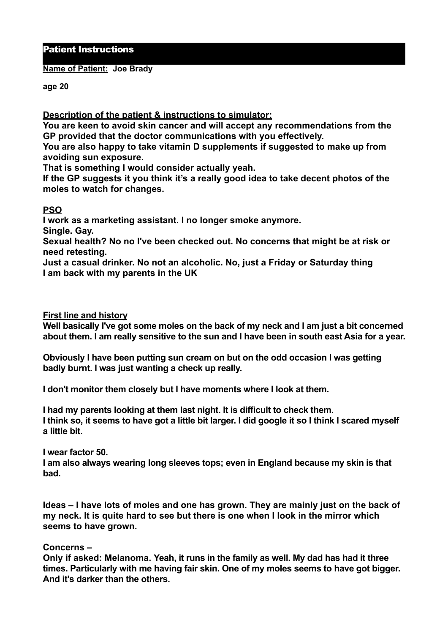# Patient Instructions

#### **Name of Patient: Joe Brady**

**age 20** 

### **Description of the patient & instructions to simulator:**

**You are keen to avoid skin cancer and will accept any recommendations from the GP provided that the doctor communications with you effectively.** 

**You are also happy to take vitamin D supplements if suggested to make up from avoiding sun exposure.**

**That is something I would consider actually yeah.** 

**If the GP suggests it you think it's a really good idea to take decent photos of the moles to watch for changes.** 

# **PSO**

**I work as a marketing assistant. I no longer smoke anymore.** 

**Single. Gay.** 

**Sexual health? No no I've been checked out. No concerns that might be at risk or need retesting.** 

**Just a casual drinker. No not an alcoholic. No, just a Friday or Saturday thing I am back with my parents in the UK** 

## **First line and history**

**Well basically I've got some moles on the back of my neck and I am just a bit concerned about them. I am really sensitive to the sun and I have been in south east Asia for a year.** 

**Obviously I have been putting sun cream on but on the odd occasion I was getting badly burnt. I was just wanting a check up really.** 

**I don't monitor them closely but I have moments where I look at them.** 

**I had my parents looking at them last night. It is difficult to check them. I think so, it seems to have got a little bit larger. I did google it so I think I scared myself a little bit.** 

**I wear factor 50.** 

**I am also always wearing long sleeves tops; even in England because my skin is that bad.** 

**Ideas – I have lots of moles and one has grown. They are mainly just on the back of my neck. It is quite hard to see but there is one when I look in the mirror which seems to have grown.** 

#### **Concerns –**

**Only if asked: Melanoma. Yeah, it runs in the family as well. My dad has had it three times. Particularly with me having fair skin. One of my moles seems to have got bigger. And it's darker than the others.**